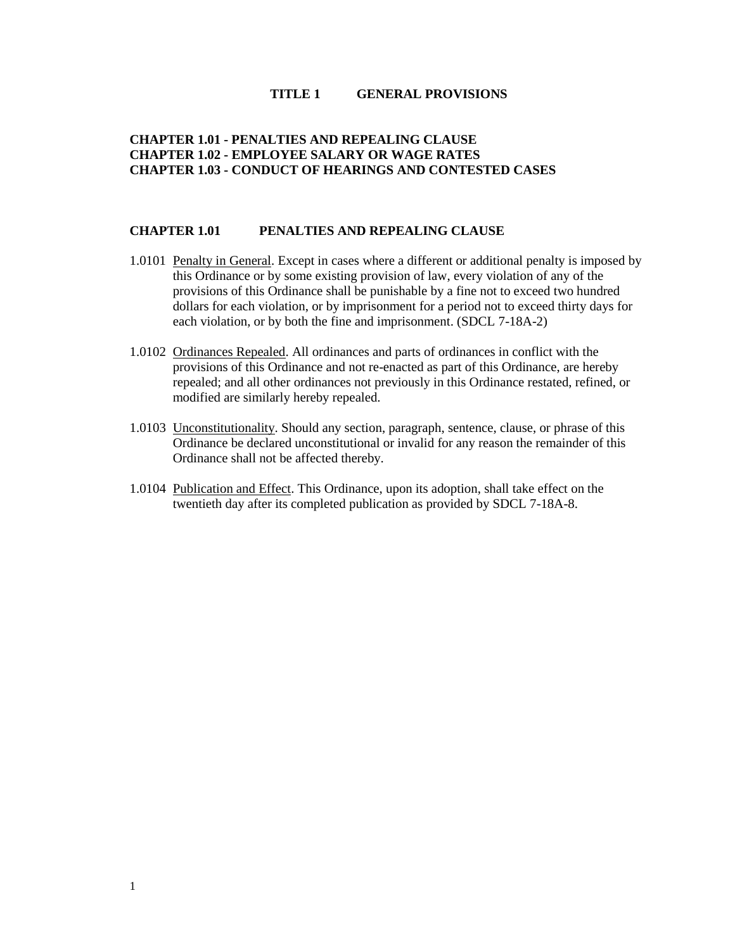#### **TITLE 1 GENERAL PROVISIONS**

## **CHAPTER 1.01 - PENALTIES AND REPEALING CLAUSE CHAPTER 1.02 - [EMPLOYEE SALARY OR WAGE RATES](#page-1-0) CHAPTER 1.03 - [CONDUCT OF HEARINGS AND CONTESTED CASES](#page-1-1)**

### **CHAPTER 1.01 PENALTIES AND REPEALING CLAUSE**

- 1.0101 Penalty in General. Except in cases where a different or additional penalty is imposed by this Ordinance or by some existing provision of law, every violation of any of the provisions of this Ordinance shall be punishable by a fine not to exceed two hundred dollars for each violation, or by imprisonment for a period not to exceed thirty days for each violation, or by both the fine and imprisonment. (SDCL 7-18A-2)
- 1.0102 Ordinances Repealed. All ordinances and parts of ordinances in conflict with the provisions of this Ordinance and not re-enacted as part of this Ordinance, are hereby repealed; and all other ordinances not previously in this Ordinance restated, refined, or modified are similarly hereby repealed.
- 1.0103 Unconstitutionality. Should any section, paragraph, sentence, clause, or phrase of this Ordinance be declared unconstitutional or invalid for any reason the remainder of this Ordinance shall not be affected thereby.
- 1.0104 Publication and Effect. This Ordinance, upon its adoption, shall take effect on the twentieth day after its completed publication as provided by SDCL 7-18A-8.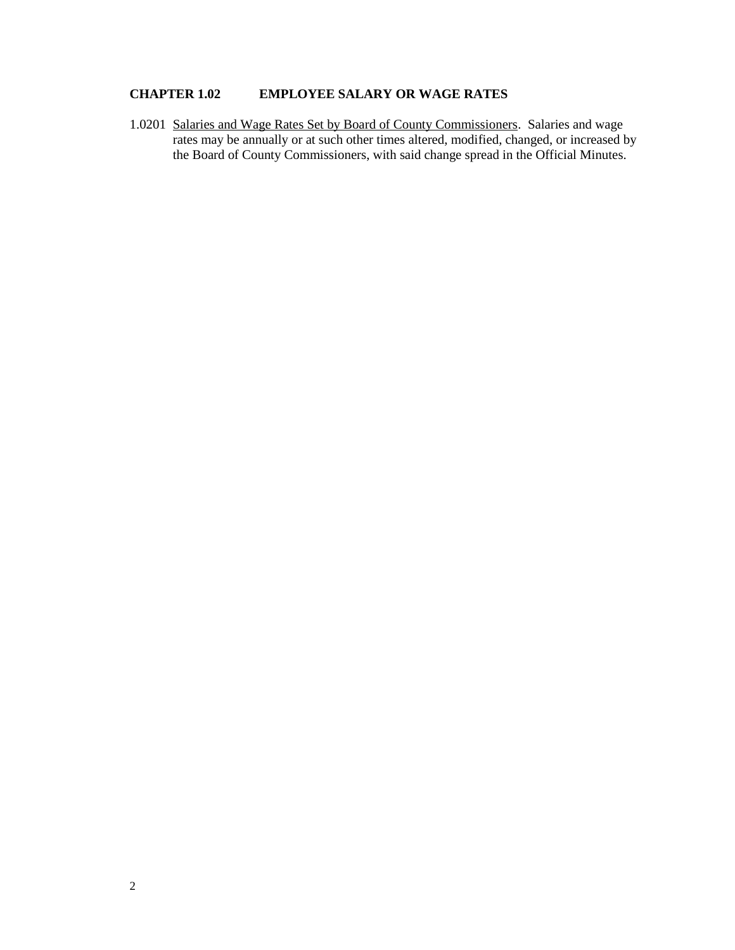# <span id="page-1-0"></span>**CHAPTER 1.02 EMPLOYEE SALARY OR WAGE RATES**

<span id="page-1-1"></span>1.0201 Salaries and Wage Rates Set by Board of County Commissioners. Salaries and wage rates may be annually or at such other times altered, modified, changed, or increased by the Board of County Commissioners, with said change spread in the Official Minutes.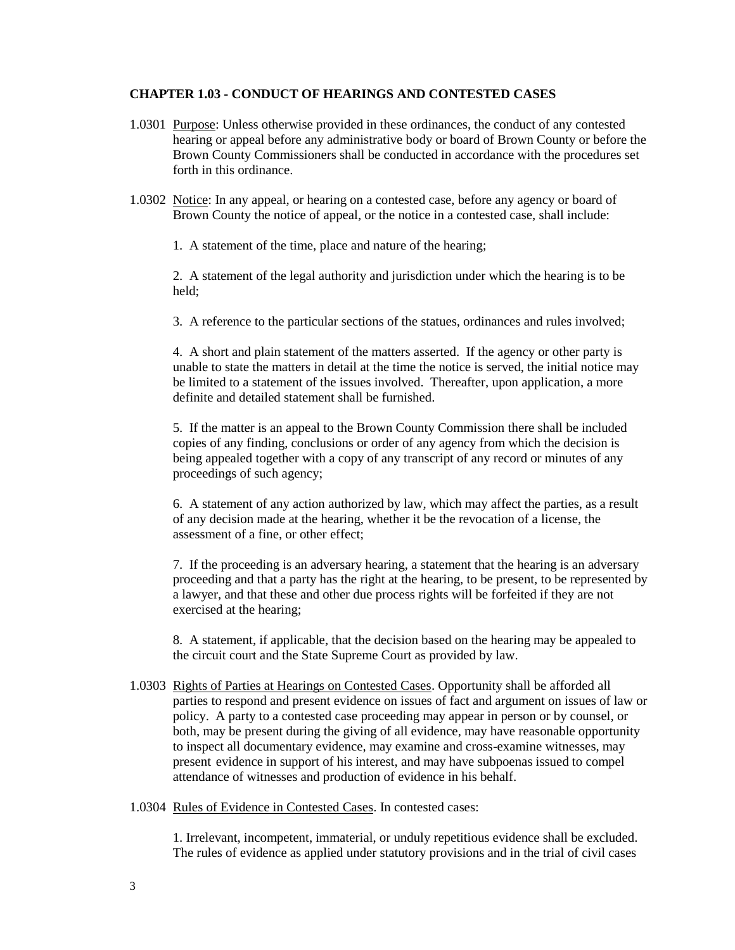#### **CHAPTER 1.03 - CONDUCT OF HEARINGS AND CONTESTED CASES**

- 1.0301 Purpose: Unless otherwise provided in these ordinances, the conduct of any contested hearing or appeal before any administrative body or board of Brown County or before the Brown County Commissioners shall be conducted in accordance with the procedures set forth in this ordinance.
- 1.0302 Notice: In any appeal, or hearing on a contested case, before any agency or board of Brown County the notice of appeal, or the notice in a contested case, shall include:
	- 1. A statement of the time, place and nature of the hearing;

2. A statement of the legal authority and jurisdiction under which the hearing is to be held;

3. A reference to the particular sections of the statues, ordinances and rules involved;

4. A short and plain statement of the matters asserted. If the agency or other party is unable to state the matters in detail at the time the notice is served, the initial notice may be limited to a statement of the issues involved. Thereafter, upon application, a more definite and detailed statement shall be furnished.

5. If the matter is an appeal to the Brown County Commission there shall be included copies of any finding, conclusions or order of any agency from which the decision is being appealed together with a copy of any transcript of any record or minutes of any proceedings of such agency;

6. A statement of any action authorized by law, which may affect the parties, as a result of any decision made at the hearing, whether it be the revocation of a license, the assessment of a fine, or other effect;

7. If the proceeding is an adversary hearing, a statement that the hearing is an adversary proceeding and that a party has the right at the hearing, to be present, to be represented by a lawyer, and that these and other due process rights will be forfeited if they are not exercised at the hearing;

8. A statement, if applicable, that the decision based on the hearing may be appealed to the circuit court and the State Supreme Court as provided by law.

- 1.0303 Rights of Parties at Hearings on Contested Cases. Opportunity shall be afforded all parties to respond and present evidence on issues of fact and argument on issues of law or policy. A party to a contested case proceeding may appear in person or by counsel, or both, may be present during the giving of all evidence, may have reasonable opportunity to inspect all documentary evidence, may examine and cross-examine witnesses, may present evidence in support of his interest, and may have subpoenas issued to compel attendance of witnesses and production of evidence in his behalf.
- 1.0304 Rules of Evidence in Contested Cases. In contested cases:

1. Irrelevant, incompetent, immaterial, or unduly repetitious evidence shall be excluded. The rules of evidence as applied under statutory provisions and in the trial of civil cases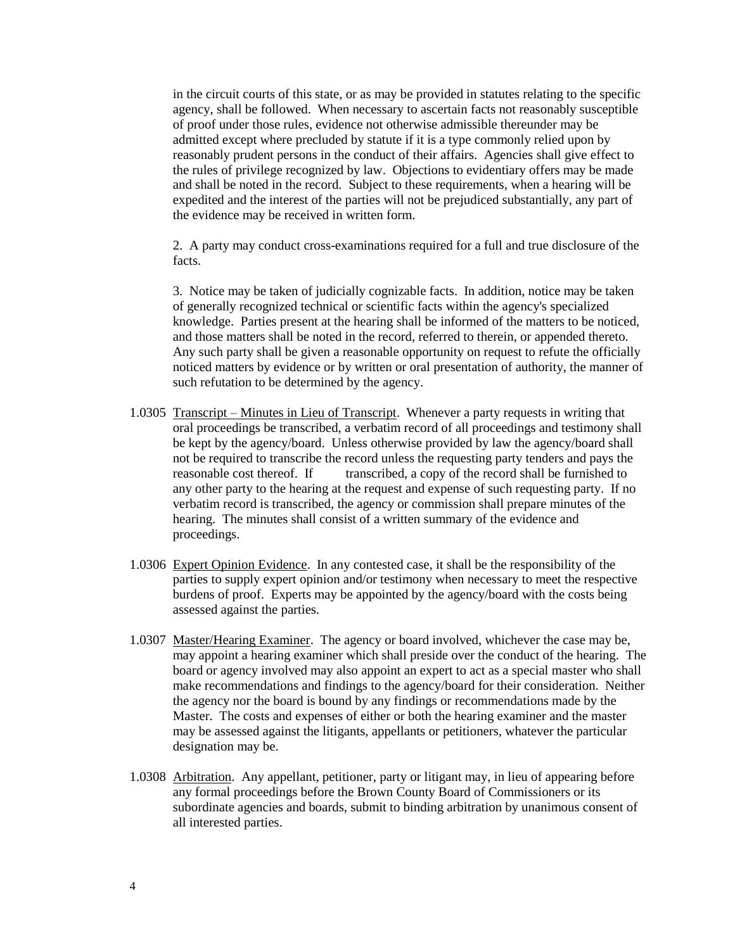in the circuit courts of this state, or as may be provided in statutes relating to the specific agency, shall be followed. When necessary to ascertain facts not reasonably susceptible of proof under those rules, evidence not otherwise admissible thereunder may be admitted except where precluded by statute if it is a type commonly relied upon by reasonably prudent persons in the conduct of their affairs. Agencies shall give effect to the rules of privilege recognized by law. Objections to evidentiary offers may be made and shall be noted in the record. Subject to these requirements, when a hearing will be expedited and the interest of the parties will not be prejudiced substantially, any part of the evidence may be received in written form.

2. A party may conduct cross-examinations required for a full and true disclosure of the facts.

3. Notice may be taken of judicially cognizable facts. In addition, notice may be taken of generally recognized technical or scientific facts within the agency's specialized knowledge. Parties present at the hearing shall be informed of the matters to be noticed, and those matters shall be noted in the record, referred to therein, or appended thereto. Any such party shall be given a reasonable opportunity on request to refute the officially noticed matters by evidence or by written or oral presentation of authority, the manner of such refutation to be determined by the agency.

- 1.0305 Transcript Minutes in Lieu of Transcript. Whenever a party requests in writing that oral proceedings be transcribed, a verbatim record of all proceedings and testimony shall be kept by the agency/board. Unless otherwise provided by law the agency/board shall not be required to transcribe the record unless the requesting party tenders and pays the reasonable cost thereof. If transcribed, a copy of the record shall be furnished to any other party to the hearing at the request and expense of such requesting party. If no verbatim record is transcribed, the agency or commission shall prepare minutes of the hearing. The minutes shall consist of a written summary of the evidence and proceedings.
- 1.0306 Expert Opinion Evidence. In any contested case, it shall be the responsibility of the parties to supply expert opinion and/or testimony when necessary to meet the respective burdens of proof. Experts may be appointed by the agency/board with the costs being assessed against the parties.
- 1.0307 Master/Hearing Examiner. The agency or board involved, whichever the case may be, may appoint a hearing examiner which shall preside over the conduct of the hearing. The board or agency involved may also appoint an expert to act as a special master who shall make recommendations and findings to the agency/board for their consideration. Neither the agency nor the board is bound by any findings or recommendations made by the Master. The costs and expenses of either or both the hearing examiner and the master may be assessed against the litigants, appellants or petitioners, whatever the particular designation may be.
- 1.0308 Arbitration. Any appellant, petitioner, party or litigant may, in lieu of appearing before any formal proceedings before the Brown County Board of Commissioners or its subordinate agencies and boards, submit to binding arbitration by unanimous consent of all interested parties.